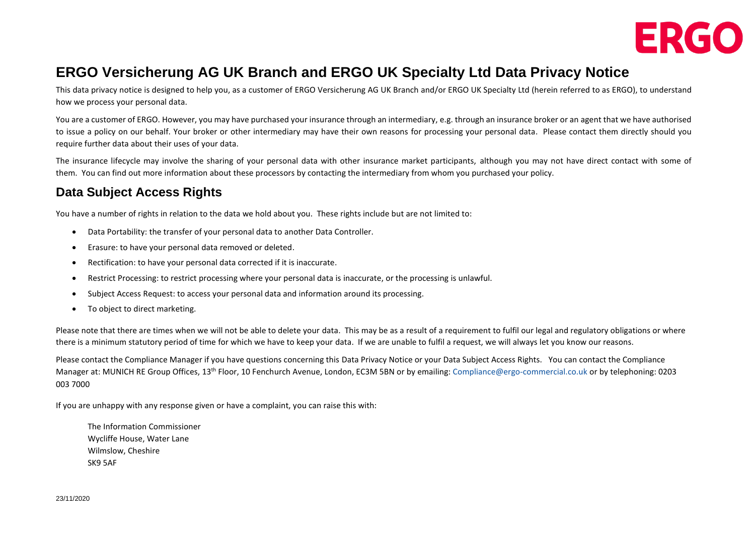

# **ERGO Versicherung AG UK Branch and ERGO UK Specialty Ltd Data Privacy Notice**

This data privacy notice is designed to help you, as a customer of ERGO Versicherung AG UK Branch and/or ERGO UK Specialty Ltd (herein referred to as ERGO), to understand how we process your personal data.

You are a customer of ERGO. However, you may have purchased your insurance through an intermediary, e.g. through an insurance broker or an agent that we have authorised to issue a policy on our behalf. Your broker or other intermediary may have their own reasons for processing your personal data. Please contact them directly should you require further data about their uses of your data.

The insurance lifecycle may involve the sharing of your personal data with other insurance market participants, although you may not have direct contact with some of them. You can find out more information about these processors by contacting the intermediary from whom you purchased your policy.

## **Data Subject Access Rights**

You have a number of rights in relation to the data we hold about you. These rights include but are not limited to:

- Data Portability: the transfer of your personal data to another Data Controller.
- Erasure: to have your personal data removed or deleted.
- Rectification: to have your personal data corrected if it is inaccurate.
- Restrict Processing: to restrict processing where your personal data is inaccurate, or the processing is unlawful.
- Subject Access Request: to access your personal data and information around its processing.
- To object to direct marketing.

Please note that there are times when we will not be able to delete your data. This may be as a result of a requirement to fulfil our legal and regulatory obligations or where there is a minimum statutory period of time for which we have to keep your data. If we are unable to fulfil a request, we will always let you know our reasons.

Please contact the Compliance Manager if you have questions concerning this Data Privacy Notice or your Data Subject Access Rights. You can contact the Compliance Manager at: MUNICH RE Group Offices, 13<sup>th</sup> Floor, 10 Fenchurch Avenue, London, EC3M 5BN or by emailing: [Compliance@ergo-commercial.co.uk](mailto:Compliance@ergo-commercial.co.uk) or by telephoning: 0203 003 7000

If you are unhappy with any response given or have a complaint, you can raise this with:

The Information Commissioner Wycliffe House, Water Lane Wilmslow, Cheshire SK9 5AF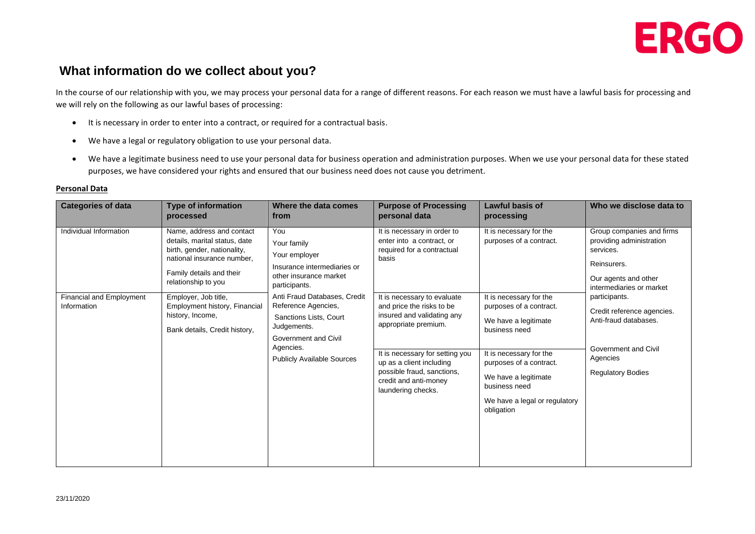

### **What information do we collect about you?**

In the course of our relationship with you, we may process your personal data for a range of different reasons. For each reason we must have a lawful basis for processing and we will rely on the following as our lawful bases of processing:

- It is necessary in order to enter into a contract, or required for a contractual basis.
- We have a legal or regulatory obligation to use your personal data.
- We have a legitimate business need to use your personal data for business operation and administration purposes. When we use your personal data for these stated purposes, we have considered your rights and ensured that our business need does not cause you detriment.

| <b>Categories of data</b>                      | <b>Type of information</b><br>processed                                                                                                                                    | Where the data comes<br>from                                                                                                                                                                                                                                                            | <b>Purpose of Processing</b><br>personal data                                                                                                                                                                                                              | <b>Lawful basis of</b><br>processing                                                                                                                                                                                                      | Who we disclose data to                                                                                                                                                                                                                                                       |
|------------------------------------------------|----------------------------------------------------------------------------------------------------------------------------------------------------------------------------|-----------------------------------------------------------------------------------------------------------------------------------------------------------------------------------------------------------------------------------------------------------------------------------------|------------------------------------------------------------------------------------------------------------------------------------------------------------------------------------------------------------------------------------------------------------|-------------------------------------------------------------------------------------------------------------------------------------------------------------------------------------------------------------------------------------------|-------------------------------------------------------------------------------------------------------------------------------------------------------------------------------------------------------------------------------------------------------------------------------|
| Individual Information                         | Name, address and contact<br>details, marital status, date<br>birth, gender, nationality,<br>national insurance number,<br>Family details and their<br>relationship to you | You<br>Your family<br>Your employer<br>Insurance intermediaries or<br>other insurance market<br>participants.<br>Anti Fraud Databases, Credit<br>Reference Agencies,<br>Sanctions Lists, Court<br>Judgements.<br>Government and Civil<br>Agencies.<br><b>Publicly Available Sources</b> | It is necessary in order to<br>enter into a contract, or<br>required for a contractual<br>basis                                                                                                                                                            | It is necessary for the<br>purposes of a contract.                                                                                                                                                                                        | Group companies and firms<br>providing administration<br>services.<br>Reinsurers.<br>Our agents and other<br>intermediaries or market<br>participants.<br>Credit reference agencies.<br>Anti-fraud databases.<br>Government and Civil<br>Agencies<br><b>Regulatory Bodies</b> |
| <b>Financial and Employment</b><br>Information | Employer, Job title,<br>Employment history, Financial<br>history, Income,<br>Bank details, Credit history,                                                                 |                                                                                                                                                                                                                                                                                         | It is necessary to evaluate<br>and price the risks to be<br>insured and validating any<br>appropriate premium.<br>It is necessary for setting you<br>up as a client including<br>possible fraud, sanctions,<br>credit and anti-money<br>laundering checks. | It is necessary for the<br>purposes of a contract.<br>We have a legitimate<br>business need<br>It is necessary for the<br>purposes of a contract.<br>We have a legitimate<br>business need<br>We have a legal or regulatory<br>obligation |                                                                                                                                                                                                                                                                               |

#### **Personal Data**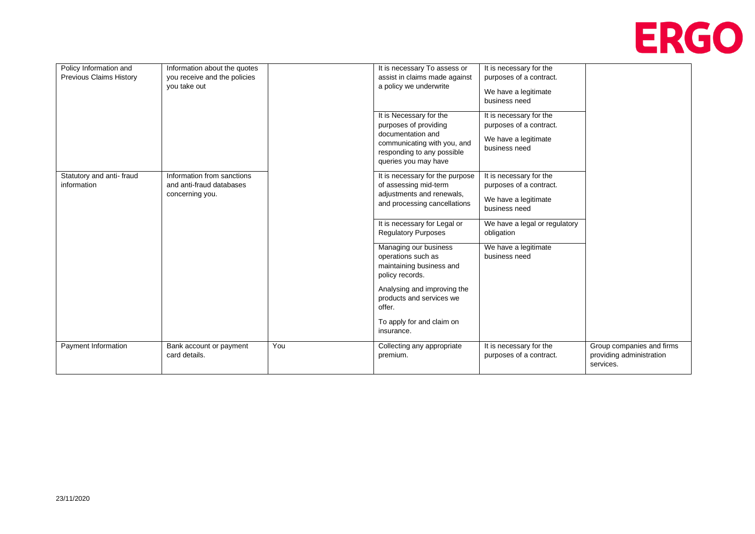

| Policy Information and<br>Information about the quotes<br>Previous Claims History<br>you receive and the policies<br>you take out |                                                                           | It is necessary To assess or<br>assist in claims made against<br>a policy we underwrite | It is necessary for the<br>purposes of a contract.<br>We have a legitimate<br>business need                                                                |                                                                                             |                                                                    |
|-----------------------------------------------------------------------------------------------------------------------------------|---------------------------------------------------------------------------|-----------------------------------------------------------------------------------------|------------------------------------------------------------------------------------------------------------------------------------------------------------|---------------------------------------------------------------------------------------------|--------------------------------------------------------------------|
|                                                                                                                                   |                                                                           |                                                                                         | It is Necessary for the<br>purposes of providing<br>documentation and<br>communicating with you, and<br>responding to any possible<br>queries you may have | It is necessary for the<br>purposes of a contract.<br>We have a legitimate<br>business need |                                                                    |
| Statutory and anti-fraud<br>information                                                                                           | Information from sanctions<br>and anti-fraud databases<br>concerning you. |                                                                                         | It is necessary for the purpose<br>of assessing mid-term<br>adjustments and renewals,<br>and processing cancellations                                      | It is necessary for the<br>purposes of a contract.<br>We have a legitimate<br>business need |                                                                    |
|                                                                                                                                   |                                                                           |                                                                                         | It is necessary for Legal or<br><b>Regulatory Purposes</b>                                                                                                 | We have a legal or regulatory<br>obligation                                                 |                                                                    |
|                                                                                                                                   |                                                                           |                                                                                         | Managing our business<br>operations such as<br>maintaining business and<br>policy records.                                                                 | We have a legitimate<br>business need                                                       |                                                                    |
|                                                                                                                                   |                                                                           |                                                                                         | Analysing and improving the<br>products and services we<br>offer.                                                                                          |                                                                                             |                                                                    |
|                                                                                                                                   |                                                                           |                                                                                         | To apply for and claim on<br>insurance.                                                                                                                    |                                                                                             |                                                                    |
| Payment Information                                                                                                               | Bank account or payment<br>card details.                                  | You                                                                                     | Collecting any appropriate<br>premium.                                                                                                                     | It is necessary for the<br>purposes of a contract.                                          | Group companies and firms<br>providing administration<br>services. |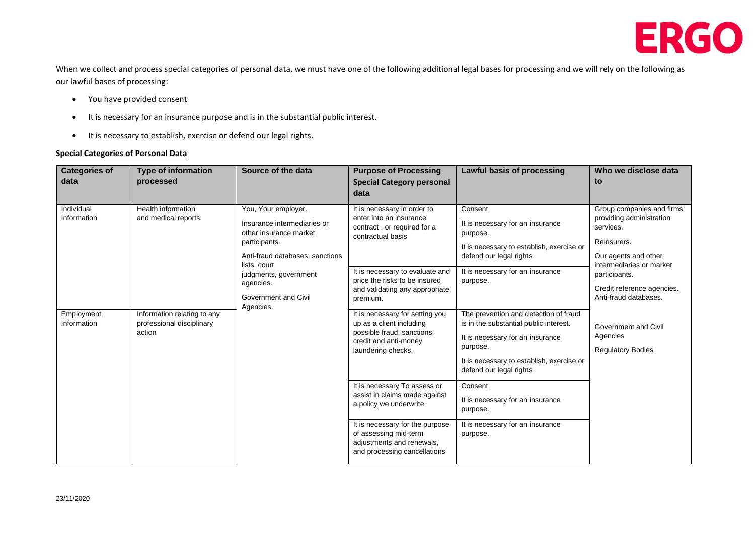

When we collect and process special categories of personal data, we must have one of the following additional legal bases for processing and we will rely on the following as our lawful bases of processing:

- You have provided consent
- It is necessary for an insurance purpose and is in the substantial public interest.
- It is necessary to establish, exercise or defend our legal rights.

#### **Special Categories of Personal Data**

| <b>Categories of</b><br>data                                                                                 | <b>Type of information</b><br>processed                                                                                                  | Source of the data                                                                                                                                                                                             | <b>Purpose of Processing</b><br><b>Special Category personal</b><br>data                                                                                                                                                     | Lawful basis of processing                                                                                                                                                      | Who we disclose data<br>to                                                                                                                                                                                    |
|--------------------------------------------------------------------------------------------------------------|------------------------------------------------------------------------------------------------------------------------------------------|----------------------------------------------------------------------------------------------------------------------------------------------------------------------------------------------------------------|------------------------------------------------------------------------------------------------------------------------------------------------------------------------------------------------------------------------------|---------------------------------------------------------------------------------------------------------------------------------------------------------------------------------|---------------------------------------------------------------------------------------------------------------------------------------------------------------------------------------------------------------|
| Individual<br>Information                                                                                    | Health information<br>and medical reports.                                                                                               | You, Your employer.<br>Insurance intermediaries or<br>other insurance market<br>participants.<br>Anti-fraud databases, sanctions<br>lists, court<br>judgments, government<br>agencies.<br>Government and Civil | It is necessary in order to<br>enter into an insurance<br>contract, or required for a<br>contractual basis<br>It is necessary to evaluate and<br>price the risks to be insured<br>and validating any appropriate<br>premium. | Consent<br>It is necessary for an insurance<br>purpose.<br>It is necessary to establish, exercise or<br>defend our legal rights<br>It is necessary for an insurance<br>purpose. | Group companies and firms<br>providing administration<br>services.<br>Reinsurers.<br>Our agents and other<br>intermediaries or market<br>participants.<br>Credit reference agencies.<br>Anti-fraud databases. |
| Agencies.<br>Information relating to any<br>Employment<br>Information<br>professional disciplinary<br>action | It is necessary for setting you<br>up as a client including<br>possible fraud, sanctions,<br>credit and anti-money<br>laundering checks. | The prevention and detection of fraud<br>is in the substantial public interest.<br>It is necessary for an insurance<br>purpose.<br>It is necessary to establish, exercise or<br>defend our legal rights        | Government and Civil<br>Agencies<br><b>Regulatory Bodies</b>                                                                                                                                                                 |                                                                                                                                                                                 |                                                                                                                                                                                                               |
|                                                                                                              |                                                                                                                                          |                                                                                                                                                                                                                | It is necessary To assess or<br>assist in claims made against<br>a policy we underwrite<br>It is necessary for the purpose                                                                                                   | Consent<br>It is necessary for an insurance<br>purpose.<br>It is necessary for an insurance                                                                                     |                                                                                                                                                                                                               |
|                                                                                                              |                                                                                                                                          |                                                                                                                                                                                                                | of assessing mid-term<br>adjustments and renewals,<br>and processing cancellations                                                                                                                                           | purpose.                                                                                                                                                                        |                                                                                                                                                                                                               |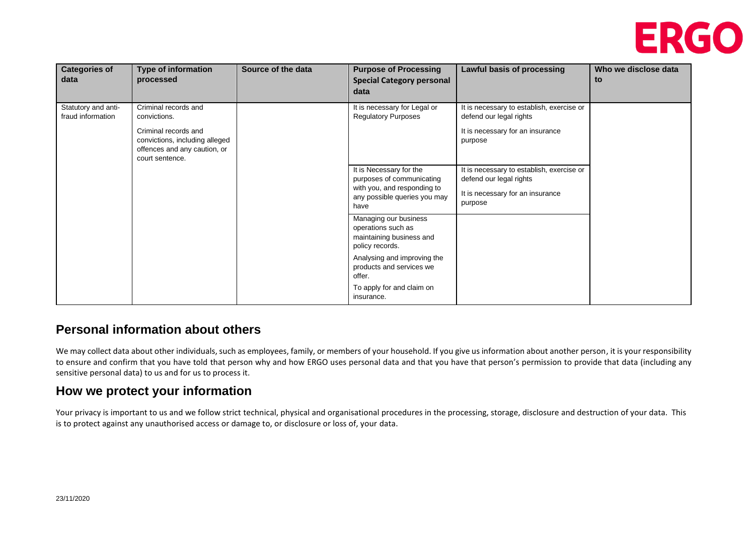

| <b>Categories of</b><br>data             | <b>Type of information</b><br>processed                                                                                                           | Source of the data | <b>Purpose of Processing</b><br><b>Special Category personal</b><br>data                                                    | Lawful basis of processing                                                                                          | Who we disclose data<br>to |
|------------------------------------------|---------------------------------------------------------------------------------------------------------------------------------------------------|--------------------|-----------------------------------------------------------------------------------------------------------------------------|---------------------------------------------------------------------------------------------------------------------|----------------------------|
| Statutory and anti-<br>fraud information | Criminal records and<br>convictions.<br>Criminal records and<br>convictions, including alleged<br>offences and any caution, or<br>court sentence. |                    | It is necessary for Legal or<br><b>Regulatory Purposes</b>                                                                  | It is necessary to establish, exercise or<br>defend our legal rights<br>It is necessary for an insurance<br>purpose |                            |
|                                          |                                                                                                                                                   |                    | It is Necessary for the<br>purposes of communicating<br>with you, and responding to<br>any possible queries you may<br>have | It is necessary to establish, exercise or<br>defend our legal rights<br>It is necessary for an insurance<br>purpose |                            |
|                                          |                                                                                                                                                   |                    | Managing our business<br>operations such as<br>maintaining business and<br>policy records.                                  |                                                                                                                     |                            |
|                                          |                                                                                                                                                   |                    | Analysing and improving the<br>products and services we<br>offer.<br>To apply for and claim on                              |                                                                                                                     |                            |
|                                          |                                                                                                                                                   |                    | insurance.                                                                                                                  |                                                                                                                     |                            |

### **Personal information about others**

We may collect data about other individuals, such as employees, family, or members of your household. If you give us information about another person, it is your responsibility to ensure and confirm that you have told that person why and how ERGO uses personal data and that you have that person's permission to provide that data (including any sensitive personal data) to us and for us to process it.

### **How we protect your information**

Your privacy is important to us and we follow strict technical, physical and organisational procedures in the processing, storage, disclosure and destruction of your data. This is to protect against any unauthorised access or damage to, or disclosure or loss of, your data.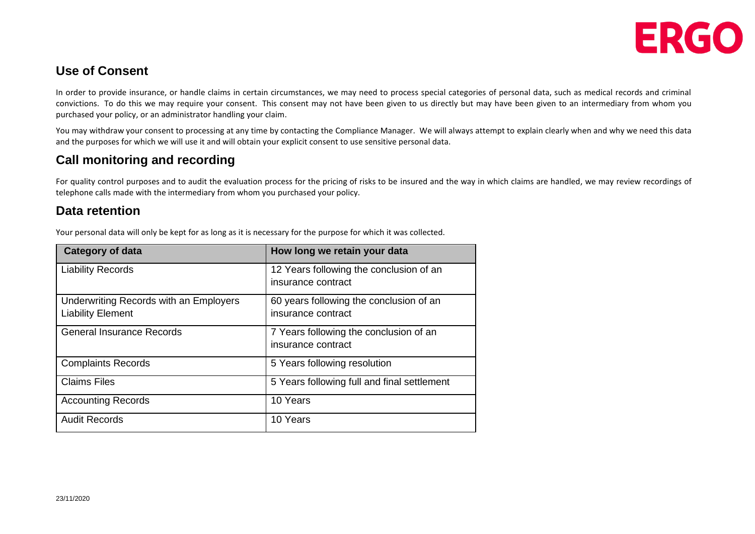

# **Use of Consent**

In order to provide insurance, or handle claims in certain circumstances, we may need to process special categories of personal data, such as medical records and criminal convictions. To do this we may require your consent. This consent may not have been given to us directly but may have been given to an intermediary from whom you purchased your policy, or an administrator handling your claim.

You may withdraw your consent to processing at any time by contacting the Compliance Manager. We will always attempt to explain clearly when and why we need this data and the purposes for which we will use it and will obtain your explicit consent to use sensitive personal data.

# **Call monitoring and recording**

For quality control purposes and to audit the evaluation process for the pricing of risks to be insured and the way in which claims are handled, we may review recordings of telephone calls made with the intermediary from whom you purchased your policy.

### **Data retention**

Your personal data will only be kept for as long as it is necessary for the purpose for which it was collected.

| <b>Category of data</b>                                            | How long we retain your data                                  |
|--------------------------------------------------------------------|---------------------------------------------------------------|
| <b>Liability Records</b>                                           | 12 Years following the conclusion of an<br>insurance contract |
| Underwriting Records with an Employers<br><b>Liability Element</b> | 60 years following the conclusion of an<br>insurance contract |
| <b>General Insurance Records</b>                                   | 7 Years following the conclusion of an<br>insurance contract  |
| <b>Complaints Records</b>                                          | 5 Years following resolution                                  |
| <b>Claims Files</b>                                                | 5 Years following full and final settlement                   |
| <b>Accounting Records</b>                                          | 10 Years                                                      |
| <b>Audit Records</b>                                               | 10 Years                                                      |